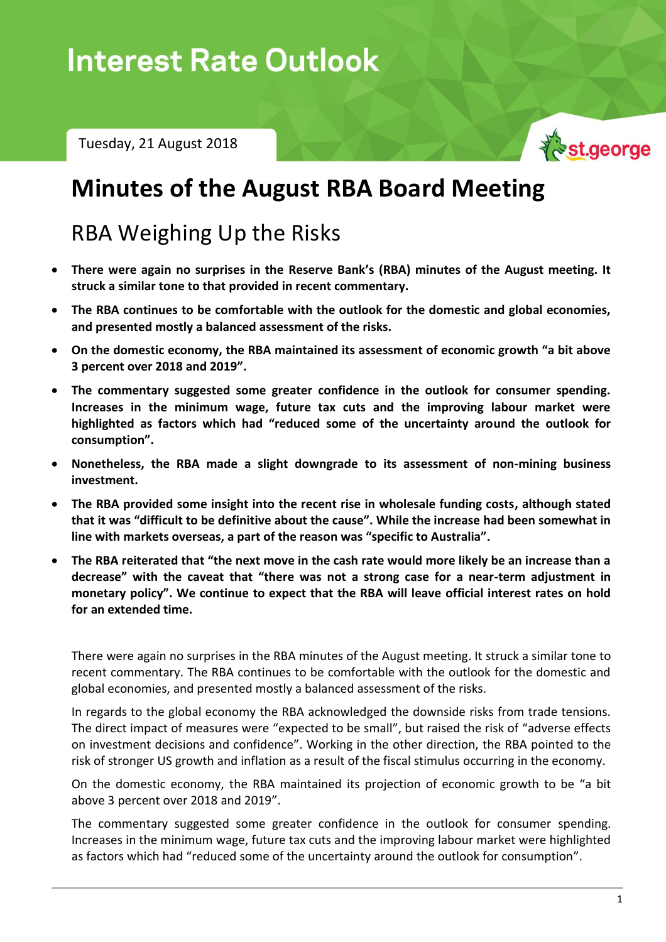# $I = 2X$  ,  $X = 2X$  ,  $Z = 2X$

Tuesday, 21 August 2018



## **Minutes of the August RBA Board Meeting**

## RBA Weighing Up the Risks

- **There were again no surprises in the Reserve Bank's (RBA) minutes of the August meeting. It struck a similar tone to that provided in recent commentary.**
- **The RBA continues to be comfortable with the outlook for the domestic and global economies, and presented mostly a balanced assessment of the risks.**
- **On the domestic economy, the RBA maintained its assessment of economic growth "a bit above 3 percent over 2018 and 2019".**
- **The commentary suggested some greater confidence in the outlook for consumer spending. Increases in the minimum wage, future tax cuts and the improving labour market were highlighted as factors which had "reduced some of the uncertainty around the outlook for consumption".**
- **Nonetheless, the RBA made a slight downgrade to its assessment of non-mining business investment.**
- **The RBA provided some insight into the recent rise in wholesale funding costs, although stated that it was "difficult to be definitive about the cause". While the increase had been somewhat in line with markets overseas, a part of the reason was "specific to Australia".**
- **The RBA reiterated that "the next move in the cash rate would more likely be an increase than a decrease" with the caveat that "there was not a strong case for a near-term adjustment in monetary policy". We continue to expect that the RBA will leave official interest rates on hold for an extended time.**

There were again no surprises in the RBA minutes of the August meeting. It struck a similar tone to recent commentary. The RBA continues to be comfortable with the outlook for the domestic and global economies, and presented mostly a balanced assessment of the risks.

In regards to the global economy the RBA acknowledged the downside risks from trade tensions. The direct impact of measures were "expected to be small", but raised the risk of "adverse effects on investment decisions and confidence". Working in the other direction, the RBA pointed to the risk of stronger US growth and inflation as a result of the fiscal stimulus occurring in the economy.

On the domestic economy, the RBA maintained its projection of economic growth to be "a bit above 3 percent over 2018 and 2019".

The commentary suggested some greater confidence in the outlook for consumer spending. Increases in the minimum wage, future tax cuts and the improving labour market were highlighted as factors which had "reduced some of the uncertainty around the outlook for consumption".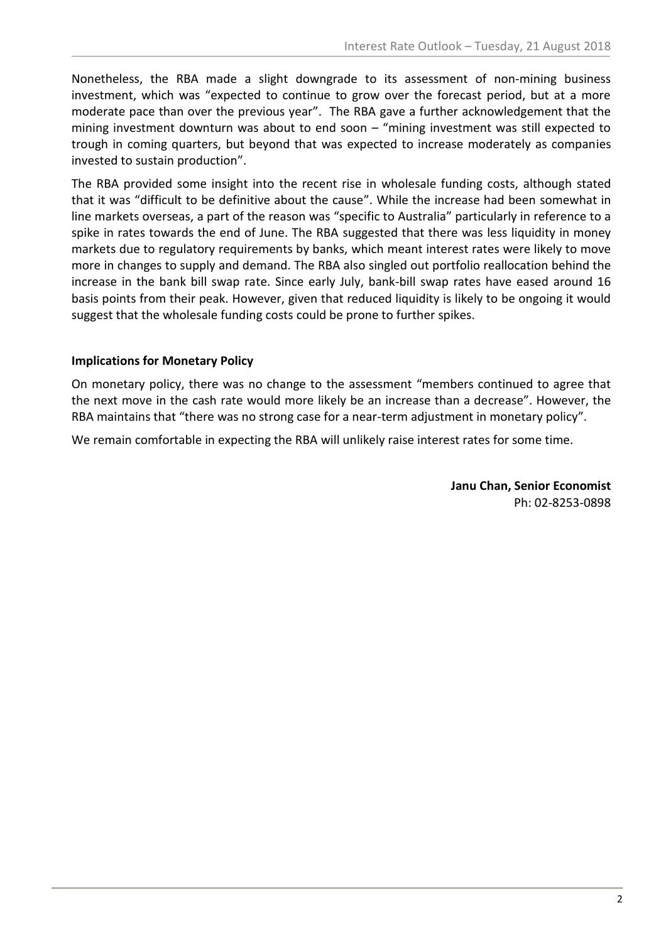Nonetheless, the RBA made a slight downgrade to its assessment of non-mining business investment, which was "expected to continue to grow over the forecast period, but at a more moderate pace than over the previous year". The RBA gave a further acknowledgement that the mining investment downturn was about to end soon – "mining investment was still expected to trough in coming quarters, but beyond that was expected to increase moderately as companies invested to sustain production".

The RBA provided some insight into the recent rise in wholesale funding costs, although stated that it was "difficult to be definitive about the cause". While the increase had been somewhat in line markets overseas, a part of the reason was "specific to Australia" particularly in reference to a spike in rates towards the end of June. The RBA suggested that there was less liquidity in money markets due to regulatory requirements by banks, which meant interest rates were likely to move more in changes to supply and demand. The RBA also singled out portfolio reallocation behind the increase in the bank bill swap rate. Since early July, bank-bill swap rates have eased around 16 basis points from their peak. However, given that reduced liquidity is likely to be ongoing it would suggest that the wholesale funding costs could be prone to further spikes.

### **Implications for Monetary Policy**

On monetary policy, there was no change to the assessment "members continued to agree that the next move in the cash rate would more likely be an increase than a decrease". However, the RBA maintains that "there was no strong case for a near-term adjustment in monetary policy".

We remain comfortable in expecting the RBA will unlikely raise interest rates for some time.

**Janu Chan, Senior Economist** Ph: 02-8253-0898